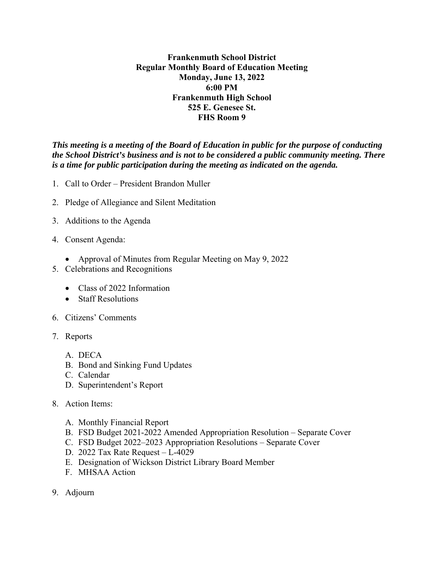**Frankenmuth School District Regular Monthly Board of Education Meeting Monday, June 13, 2022 6:00 PM Frankenmuth High School 525 E. Genesee St. FHS Room 9** 

*This meeting is a meeting of the Board of Education in public for the purpose of conducting the School District's business and is not to be considered a public community meeting. There is a time for public participation during the meeting as indicated on the agenda.*

- 1. Call to Order President Brandon Muller
- 2. Pledge of Allegiance and Silent Meditation
- 3. Additions to the Agenda
- 4. Consent Agenda:
	- Approval of Minutes from Regular Meeting on May 9, 2022
- 5. Celebrations and Recognitions
	- Class of 2022 Information
	- Staff Resolutions
- 6. Citizens' Comments
- 7. Reports
	- A. DECA
	- B. Bond and Sinking Fund Updates
	- C. Calendar
	- D. Superintendent's Report
- 8. Action Items:
	- A. Monthly Financial Report
	- B. FSD Budget 2021-2022 Amended Appropriation Resolution Separate Cover
	- C. FSD Budget 2022–2023 Appropriation Resolutions Separate Cover
	- D. 2022 Tax Rate Request L-4029
	- E. Designation of Wickson District Library Board Member
	- F. MHSAA Action
- 9. Adjourn